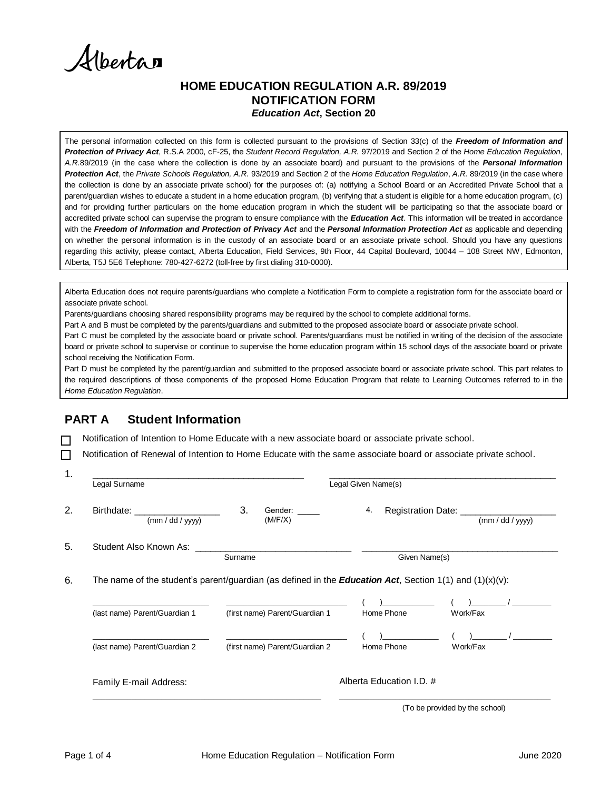Alberta

#### **HOME EDUCATION REGULATION A.R. 89/2019 NOTIFICATION FORM** *Education Act***, Section 20**

The personal information collected on this form is collected pursuant to the provisions of Section 33(c) of the *Freedom of Information and Protection of Privacy Act*, R.S.A 2000, cF-25, the *Student Record Regulation, A.R.* 97/2019 and Section 2 of the *Home Education Regulation*, *A.R.*89/2019 (in the case where the collection is done by an associate board) and pursuant to the provisions of the *Personal Information Protection Act*, the *Private Schools Regulation, A.R.* 93/2019 and Section 2 of the *Home Education Regulation*, *A.R.* 89/2019 (in the case where the collection is done by an associate private school) for the purposes of: (a) notifying a School Board or an Accredited Private School that a parent/guardian wishes to educate a student in a home education program, (b) verifying that a student is eligible for a home education program, (c) and for providing further particulars on the home education program in which the student will be participating so that the associate board or accredited private school can supervise the program to ensure compliance with the *Education Act*. This information will be treated in accordance with the *Freedom of Information and Protection of Privacy Act* and the *Personal Information Protection Act* as applicable and depending on whether the personal information is in the custody of an associate board or an associate private school*.* Should you have any questions regarding this activity, please contact, Alberta Education, Field Services, 9th Floor, 44 Capital Boulevard, 10044 – 108 Street NW, Edmonton, Alberta, T5J 5E6 Telephone: 780-427-6272 (toll-free by first dialing 310-0000).

Alberta Education does not require parents/guardians who complete a Notification Form to complete a registration form for the associate board or associate private school.

Parents/guardians choosing shared responsibility programs may be required by the school to complete additional forms.

Part A and B must be completed by the parents/guardians and submitted to the proposed associate board or associate private school.

Part C must be completed by the associate board or private school. Parents/guardians must be notified in writing of the decision of the associate board or private school to supervise or continue to supervise the home education program within 15 school days of the associate board or private school receiving the Notification Form.

Part D must be completed by the parent/guardian and submitted to the proposed associate board or associate private school. This part relates to the required descriptions of those components of the proposed Home Education Program that relate to Learning Outcomes referred to in the *Home Education Regulation*.

# **PART A Student Information**

Notification of Intention to Home Educate with a new associate board or associate private school.

□ Notification of Renewal of Intention to Home Educate with the same associate board or associate private school.

| Legal Given Name(s)<br>Legal Surname                                                                                               |                                                                                                                    |            |                                            |
|------------------------------------------------------------------------------------------------------------------------------------|--------------------------------------------------------------------------------------------------------------------|------------|--------------------------------------------|
| Birthdate: Electronic Secretary Associations of the Secretary Association of the Secretary Association of the S<br>(mm / dd / yyy) | 3.<br>Gender:<br>(M/F/X)                                                                                           | 4.         | Registration Date: ____<br>(mm / dd / yyy) |
| Student Also Known As: Student Also Known As:                                                                                      | Surname<br>Given Name(s)                                                                                           |            |                                            |
|                                                                                                                                    |                                                                                                                    |            |                                            |
|                                                                                                                                    | The name of the student's parent/guardian (as defined in the <b>Education Act</b> , Section 1(1) and $(1)(x)(v)$ : |            |                                            |
| (last name) Parent/Guardian 1                                                                                                      | (first name) Parent/Guardian 1                                                                                     | Home Phone | Work/Fax                                   |
| (last name) Parent/Guardian 2                                                                                                      | (first name) Parent/Guardian 2                                                                                     | Home Phone | Work/Fax                                   |

(To be provided by the school)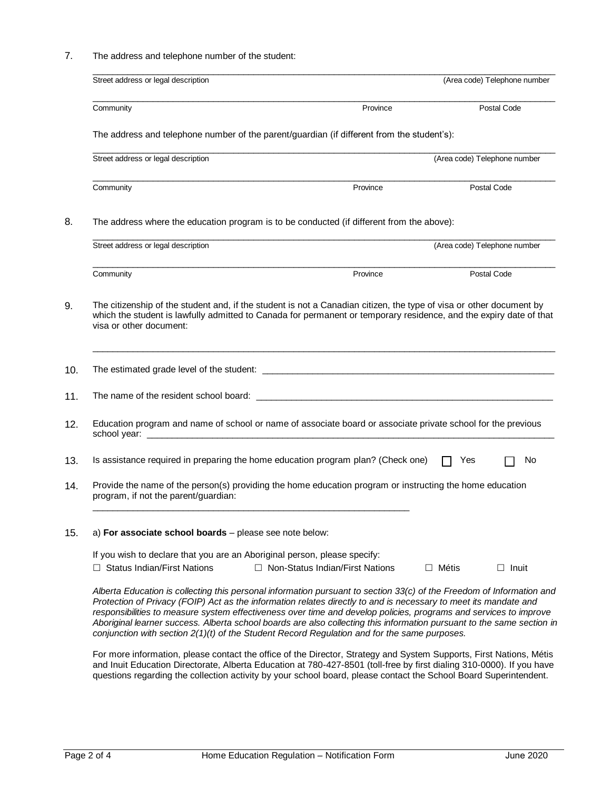7. The address and telephone number of the student:

| Street address or legal description                                                                                                                                                                                                                                                                                                                            |                                                                                                                        | (Area code) Telephone number |              |
|----------------------------------------------------------------------------------------------------------------------------------------------------------------------------------------------------------------------------------------------------------------------------------------------------------------------------------------------------------------|------------------------------------------------------------------------------------------------------------------------|------------------------------|--------------|
| Community                                                                                                                                                                                                                                                                                                                                                      | Province                                                                                                               |                              | Postal Code  |
| The address and telephone number of the parent/guardian (if different from the student's):                                                                                                                                                                                                                                                                     |                                                                                                                        |                              |              |
| Street address or legal description                                                                                                                                                                                                                                                                                                                            |                                                                                                                        | (Area code) Telephone number |              |
| Community                                                                                                                                                                                                                                                                                                                                                      | Province                                                                                                               | Postal Code                  |              |
| The address where the education program is to be conducted (if different from the above):                                                                                                                                                                                                                                                                      |                                                                                                                        |                              |              |
| Street address or legal description                                                                                                                                                                                                                                                                                                                            |                                                                                                                        | (Area code) Telephone number |              |
| Community                                                                                                                                                                                                                                                                                                                                                      | Province                                                                                                               | Postal Code                  |              |
| which the student is lawfully admitted to Canada for permanent or temporary residence, and the expiry date of that<br>visa or other document:                                                                                                                                                                                                                  |                                                                                                                        |                              |              |
|                                                                                                                                                                                                                                                                                                                                                                |                                                                                                                        |                              |              |
| Education program and name of school or name of associate board or associate private school for the previous                                                                                                                                                                                                                                                   |                                                                                                                        |                              |              |
| Is assistance required in preparing the home education program plan? (Check one)                                                                                                                                                                                                                                                                               |                                                                                                                        | Yes                          | No           |
| Provide the name of the person(s) providing the home education program or instructing the home education<br>program, if not the parent/guardian:                                                                                                                                                                                                               |                                                                                                                        |                              |              |
| a) For associate school boards - please see note below:                                                                                                                                                                                                                                                                                                        |                                                                                                                        |                              |              |
| If you wish to declare that you are an Aboriginal person, please specify:<br>$\Box$ Status Indian/First Nations                                                                                                                                                                                                                                                | $\Box$ Non-Status Indian/First Nations                                                                                 | $\Box$ Métis                 | $\Box$ Inuit |
| Alberta Education is collecting this personal information pursuant to section 33(c) of the Freedom of Information and<br>Protection of Privacy (FOIP) Act as the information relates directly to and is necessary to meet its mandate and<br>responsibilities to measure system effectiveness over time and develop policies, programs and services to improve | Aboriginal learner success. Alberta school boards are also collecting this information pursuant to the same section in |                              |              |

For more information, please contact the office of the Director, Strategy and System Supports, First Nations, Métis and Inuit Education Directorate, Alberta Education at 780-427-8501 (toll-free by first dialing 310-0000). If you have questions regarding the collection activity by your school board, please contact the School Board Superintendent.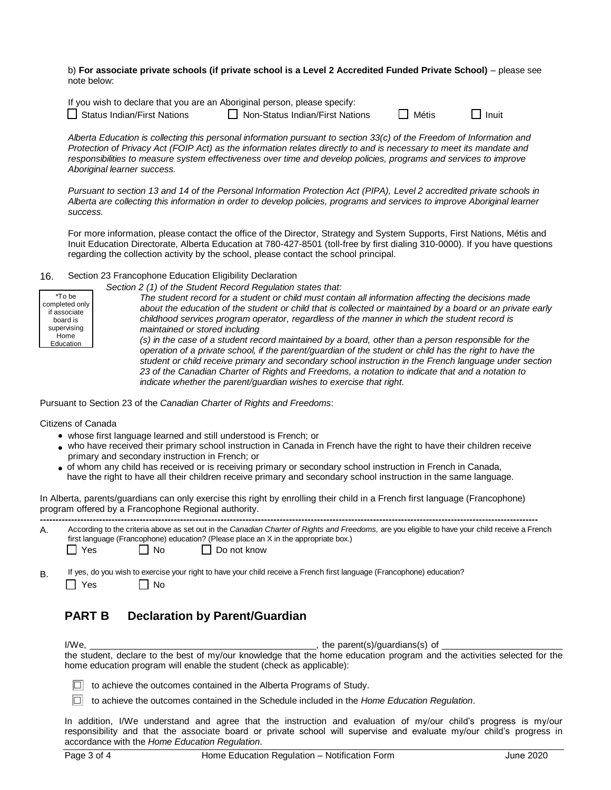b) **For associate private schools (if private school is a Level 2 Accredited Funded Private School)** – please see note below:

| If you wish to declare that you are an Aboriginal person, please specify: |                                   |              |              |
|---------------------------------------------------------------------------|-----------------------------------|--------------|--------------|
| $\Box$ Status Indian/First Nations                                        | □ Non-Status Indian/First Nations | <b>Métis</b> | $\Box$ Inuit |

|  |  | Inui |  |
|--|--|------|--|
|  |  |      |  |

*Alberta Education is collecting this personal information pursuant to section 33(c) of the Freedom of Information and Protection of Privacy Act (FOIP Act) as the information relates directly to and is necessary to meet its mandate and responsibilities to measure system effectiveness over time and develop policies, programs and services to improve Aboriginal learner success.*

*Pursuant to section 13 and 14 of the Personal Information Protection Act (PIPA), Level 2 accredited private schools in Alberta are collecting this information in order to develop policies, programs and services to improve Aboriginal learner success.*

For more information, please contact the office of the Director, Strategy and System Supports, First Nations, Métis and Inuit Education Directorate, Alberta Education at 780-427-8501 (toll-free by first dialing 310-0000). If you have questions regarding the collection activity by the school, please contact the school principal.

16. Section 23 Francophone Education Eligibility Declaration

|                                                                                          | Section 2 (1) of the Student Record Regulation states that:                                                                                                                                                                                                                                                                                                                                                                                                                                                                                                          |
|------------------------------------------------------------------------------------------|----------------------------------------------------------------------------------------------------------------------------------------------------------------------------------------------------------------------------------------------------------------------------------------------------------------------------------------------------------------------------------------------------------------------------------------------------------------------------------------------------------------------------------------------------------------------|
| *To be<br>completed only<br>if associate<br>board is<br>supervising<br>Home<br>Education | The student record for a student or child must contain all information affecting the decisions made<br>about the education of the student or child that is collected or maintained by a board or an private early<br>childhood services program operator, regardless of the manner in which the student record is<br>maintained or stored including<br>(s) in the case of a student record maintained by a board, other than a person responsible for the<br>operation of a private school, if the parent/guardian of the student or child has the right to have the |
|                                                                                          | student or child receive primary and secondary school instruction in the French language under section<br>23 of the Canadian Charter of Rights and Freedoms, a notation to indicate that and a notation to<br>indicate whether the parent/guardian wishes to exercise that right.                                                                                                                                                                                                                                                                                    |

Pursuant to Section 23 of the *Canadian Charter of Rights and Freedoms*:

Citizens of Canada

- whose first language learned and still understood is French; or
- who have received their primary school instruction in Canada in French have the right to have their children receive primary and secondary instruction in French; or
- of whom any child has received or is receiving primary or secondary school instruction in French in Canada, have the right to have all their children receive primary and secondary school instruction in the same language.

In Alberta, parents/guardians can only exercise this right by enrolling their child in a French first language (Francophone) program offered by a Francophone Regional authority.

| А. |            |                   | According to the criteria above as set out in the Canadian Charter of Rights and Freedoms, are you eligible to have your child receive a French<br>first language (Francophone) education? (Please place an X in the appropriate box.) |
|----|------------|-------------------|----------------------------------------------------------------------------------------------------------------------------------------------------------------------------------------------------------------------------------------|
|    | $\Box$ Yes | $\overline{1}$ No | I Do not know                                                                                                                                                                                                                          |

B. If yes, do you wish to exercise your right to have your child receive a French first language (Francophone) education?

 $\Box$  Yes  $\Box$  No

# **PART B Declaration by Parent/Guardian**

I/We,  $\blacksquare$  is the parent(s)/guardians(s) of  $\blacksquare$ the student, declare to the best of my/our knowledge that the home education program and the activities selected for the home education program will enable the student (check as applicable):

 $\Box$  to achieve the outcomes contained in the Alberta Programs of Study.

to achieve the outcomes contained in the Schedule included in the *Home Education Regulation*.

In addition, I/We understand and agree that the instruction and evaluation of my/our child's progress is my/our responsibility and that the associate board or private school will supervise and evaluate my/our child's progress in accordance with the *Home Education Regulation*.